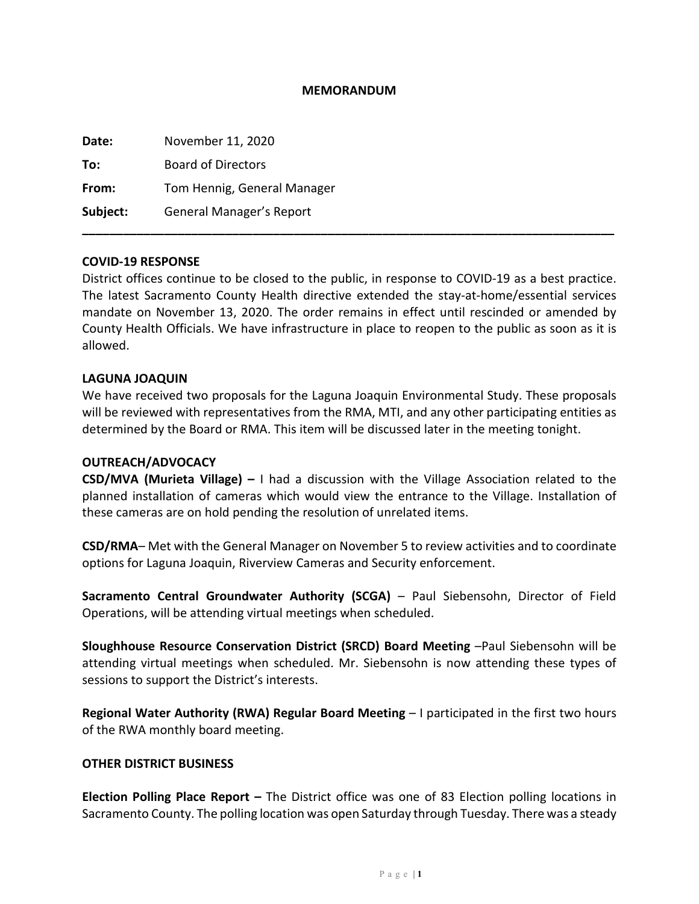### **MEMORANDUM**

| Date:    | November 11, 2020           |
|----------|-----------------------------|
| To:      | <b>Board of Directors</b>   |
| From:    | Tom Hennig, General Manager |
| Subject: | General Manager's Report    |
|          |                             |

### **COVID-19 RESPONSE**

District offices continue to be closed to the public, in response to COVID-19 as a best practice. The latest Sacramento County Health directive extended the stay-at-home/essential services mandate on November 13, 2020. The order remains in effect until rescinded or amended by County Health Officials. We have infrastructure in place to reopen to the public as soon as it is allowed.

### **LAGUNA JOAQUIN**

We have received two proposals for the Laguna Joaquin Environmental Study. These proposals will be reviewed with representatives from the RMA, MTI, and any other participating entities as determined by the Board or RMA. This item will be discussed later in the meeting tonight.

### **OUTREACH/ADVOCACY**

**CSD/MVA (Murieta Village) –** I had a discussion with the Village Association related to the planned installation of cameras which would view the entrance to the Village. Installation of these cameras are on hold pending the resolution of unrelated items.

**CSD/RMA**– Met with the General Manager on November 5 to review activities and to coordinate options for Laguna Joaquin, Riverview Cameras and Security enforcement.

**Sacramento Central Groundwater Authority (SCGA)** – Paul Siebensohn, Director of Field Operations, will be attending virtual meetings when scheduled.

**Sloughhouse Resource Conservation District (SRCD) Board Meeting** –Paul Siebensohn will be attending virtual meetings when scheduled. Mr. Siebensohn is now attending these types of sessions to support the District's interests.

**Regional Water Authority (RWA) Regular Board Meeting** – I participated in the first two hours of the RWA monthly board meeting.

### **OTHER DISTRICT BUSINESS**

**Election Polling Place Report –** The District office was one of 83 Election polling locations in Sacramento County. The polling location was open Saturday through Tuesday. There was a steady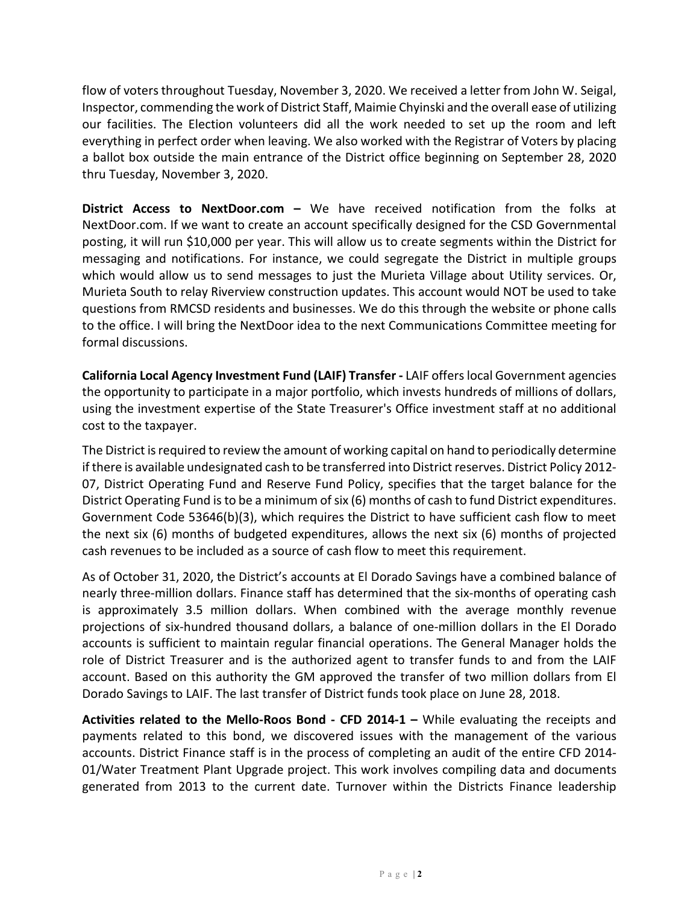flow of voters throughout Tuesday, November 3, 2020. We received a letter from John W. Seigal, Inspector, commending the work of District Staff, Maimie Chyinski and the overall ease of utilizing our facilities. The Election volunteers did all the work needed to set up the room and left everything in perfect order when leaving. We also worked with the Registrar of Voters by placing a ballot box outside the main entrance of the District office beginning on September 28, 2020 thru Tuesday, November 3, 2020.

**District Access to NextDoor.com –** We have received notification from the folks at NextDoor.com. If we want to create an account specifically designed for the CSD Governmental posting, it will run \$10,000 per year. This will allow us to create segments within the District for messaging and notifications. For instance, we could segregate the District in multiple groups which would allow us to send messages to just the Murieta Village about Utility services. Or, Murieta South to relay Riverview construction updates. This account would NOT be used to take questions from RMCSD residents and businesses. We do this through the website or phone calls to the office. I will bring the NextDoor idea to the next Communications Committee meeting for formal discussions.

**California Local Agency Investment Fund (LAIF) Transfer -** LAIF offers local Government agencies the opportunity to participate in a major portfolio, which invests hundreds of millions of dollars, using the investment expertise of the State Treasurer's Office investment staff at no additional cost to the taxpayer.

The District is required to review the amount of working capital on hand to periodically determine if there is available undesignated cash to be transferred into District reserves. District Policy 2012- 07, District Operating Fund and Reserve Fund Policy, specifies that the target balance for the District Operating Fund is to be a minimum of six (6) months of cash to fund District expenditures. Government Code 53646(b)(3), which requires the District to have sufficient cash flow to meet the next six (6) months of budgeted expenditures, allows the next six (6) months of projected cash revenues to be included as a source of cash flow to meet this requirement.

As of October 31, 2020, the District's accounts at El Dorado Savings have a combined balance of nearly three-million dollars. Finance staff has determined that the six-months of operating cash is approximately 3.5 million dollars. When combined with the average monthly revenue projections of six-hundred thousand dollars, a balance of one-million dollars in the El Dorado accounts is sufficient to maintain regular financial operations. The General Manager holds the role of District Treasurer and is the authorized agent to transfer funds to and from the LAIF account. Based on this authority the GM approved the transfer of two million dollars from El Dorado Savings to LAIF. The last transfer of District funds took place on June 28, 2018.

**Activities related to the Mello-Roos Bond - CFD 2014-1 –** While evaluating the receipts and payments related to this bond, we discovered issues with the management of the various accounts. District Finance staff is in the process of completing an audit of the entire CFD 2014- 01/Water Treatment Plant Upgrade project. This work involves compiling data and documents generated from 2013 to the current date. Turnover within the Districts Finance leadership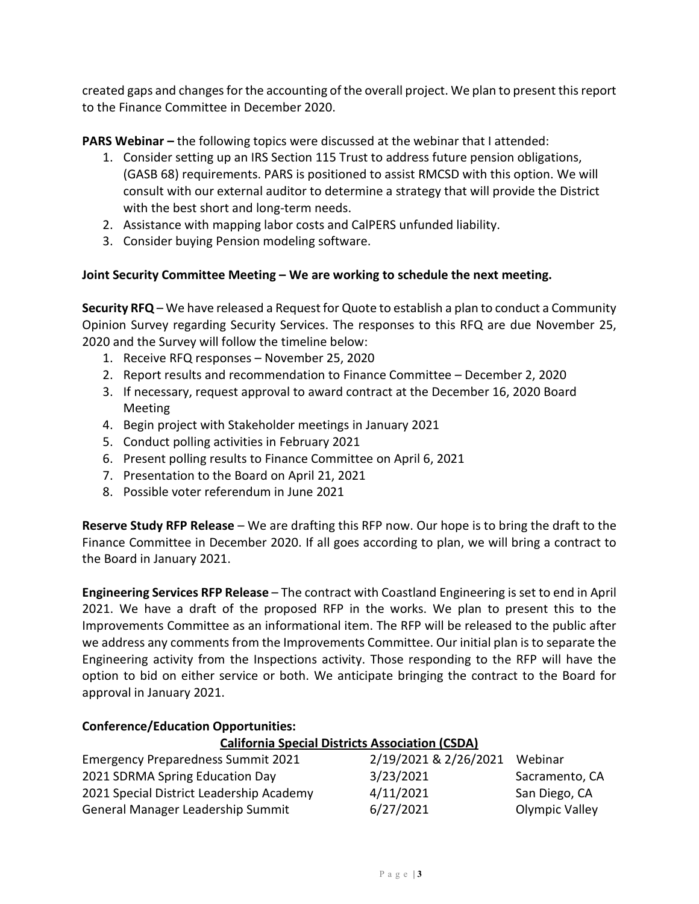created gaps and changes for the accounting of the overall project. We plan to present this report to the Finance Committee in December 2020.

**PARS Webinar –** the following topics were discussed at the webinar that I attended:

- 1. Consider setting up an IRS Section 115 Trust to address future pension obligations, (GASB 68) requirements. PARS is positioned to assist RMCSD with this option. We will consult with our external auditor to determine a strategy that will provide the District with the best short and long-term needs.
- 2. Assistance with mapping labor costs and CalPERS unfunded liability.
- 3. Consider buying Pension modeling software.

## **Joint Security Committee Meeting – We are working to schedule the next meeting.**

**Security RFQ** – We have released a Request for Quote to establish a plan to conduct a Community Opinion Survey regarding Security Services. The responses to this RFQ are due November 25, 2020 and the Survey will follow the timeline below:

- 1. Receive RFQ responses November 25, 2020
- 2. Report results and recommendation to Finance Committee December 2, 2020
- 3. If necessary, request approval to award contract at the December 16, 2020 Board Meeting
- 4. Begin project with Stakeholder meetings in January 2021
- 5. Conduct polling activities in February 2021
- 6. Present polling results to Finance Committee on April 6, 2021
- 7. Presentation to the Board on April 21, 2021
- 8. Possible voter referendum in June 2021

**Reserve Study RFP Release** – We are drafting this RFP now. Our hope is to bring the draft to the Finance Committee in December 2020. If all goes according to plan, we will bring a contract to the Board in January 2021.

**Engineering Services RFP Release** – The contract with Coastland Engineering is set to end in April 2021. We have a draft of the proposed RFP in the works. We plan to present this to the Improvements Committee as an informational item. The RFP will be released to the public after we address any comments from the Improvements Committee. Our initial plan is to separate the Engineering activity from the Inspections activity. Those responding to the RFP will have the option to bid on either service or both. We anticipate bringing the contract to the Board for approval in January 2021.

# **Conference/Education Opportunities:**

## **California Special Districts Association (CSDA)**

| <b>Emergency Preparedness Summit 2021</b> | 2/19/2021 & 2/26/2021 | Webinar        |
|-------------------------------------------|-----------------------|----------------|
| 2021 SDRMA Spring Education Day           | 3/23/2021             | Sacramento, CA |
| 2021 Special District Leadership Academy  | 4/11/2021             | San Diego, CA  |
| General Manager Leadership Summit         | 6/27/2021             | Olympic Valley |